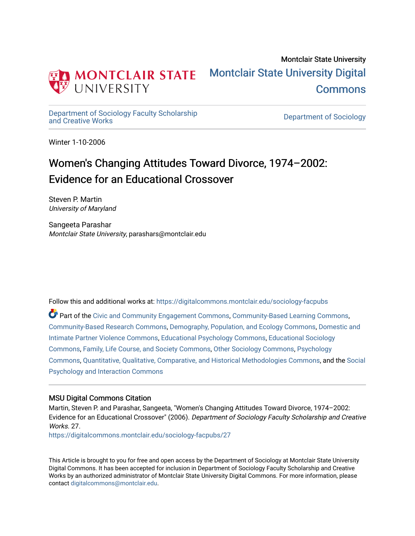

[Department of Sociology Faculty Scholarship](https://digitalcommons.montclair.edu/sociology-facpubs)

Department of Sociology

Winter 1-10-2006

## Women's Changing Attitudes Toward Divorce, 1974–2002: Evidence for an Educational Crossover

Steven P. Martin University of Maryland

Sangeeta Parashar Montclair State University, parashars@montclair.edu

Follow this and additional works at: [https://digitalcommons.montclair.edu/sociology-facpubs](https://digitalcommons.montclair.edu/sociology-facpubs?utm_source=digitalcommons.montclair.edu%2Fsociology-facpubs%2F27&utm_medium=PDF&utm_campaign=PDFCoverPages)

Part of the [Civic and Community Engagement Commons](http://network.bepress.com/hgg/discipline/1028?utm_source=digitalcommons.montclair.edu%2Fsociology-facpubs%2F27&utm_medium=PDF&utm_campaign=PDFCoverPages), [Community-Based Learning Commons](http://network.bepress.com/hgg/discipline/1046?utm_source=digitalcommons.montclair.edu%2Fsociology-facpubs%2F27&utm_medium=PDF&utm_campaign=PDFCoverPages), [Community-Based Research Commons](http://network.bepress.com/hgg/discipline/1047?utm_source=digitalcommons.montclair.edu%2Fsociology-facpubs%2F27&utm_medium=PDF&utm_campaign=PDFCoverPages), [Demography, Population, and Ecology Commons,](http://network.bepress.com/hgg/discipline/418?utm_source=digitalcommons.montclair.edu%2Fsociology-facpubs%2F27&utm_medium=PDF&utm_campaign=PDFCoverPages) [Domestic and](http://network.bepress.com/hgg/discipline/1309?utm_source=digitalcommons.montclair.edu%2Fsociology-facpubs%2F27&utm_medium=PDF&utm_campaign=PDFCoverPages)  [Intimate Partner Violence Commons](http://network.bepress.com/hgg/discipline/1309?utm_source=digitalcommons.montclair.edu%2Fsociology-facpubs%2F27&utm_medium=PDF&utm_campaign=PDFCoverPages), [Educational Psychology Commons](http://network.bepress.com/hgg/discipline/798?utm_source=digitalcommons.montclair.edu%2Fsociology-facpubs%2F27&utm_medium=PDF&utm_campaign=PDFCoverPages), [Educational Sociology](http://network.bepress.com/hgg/discipline/1071?utm_source=digitalcommons.montclair.edu%2Fsociology-facpubs%2F27&utm_medium=PDF&utm_campaign=PDFCoverPages)  [Commons](http://network.bepress.com/hgg/discipline/1071?utm_source=digitalcommons.montclair.edu%2Fsociology-facpubs%2F27&utm_medium=PDF&utm_campaign=PDFCoverPages), [Family, Life Course, and Society Commons,](http://network.bepress.com/hgg/discipline/419?utm_source=digitalcommons.montclair.edu%2Fsociology-facpubs%2F27&utm_medium=PDF&utm_campaign=PDFCoverPages) [Other Sociology Commons](http://network.bepress.com/hgg/discipline/434?utm_source=digitalcommons.montclair.edu%2Fsociology-facpubs%2F27&utm_medium=PDF&utm_campaign=PDFCoverPages), [Psychology](http://network.bepress.com/hgg/discipline/404?utm_source=digitalcommons.montclair.edu%2Fsociology-facpubs%2F27&utm_medium=PDF&utm_campaign=PDFCoverPages)  [Commons](http://network.bepress.com/hgg/discipline/404?utm_source=digitalcommons.montclair.edu%2Fsociology-facpubs%2F27&utm_medium=PDF&utm_campaign=PDFCoverPages), [Quantitative, Qualitative, Comparative, and Historical Methodologies Commons](http://network.bepress.com/hgg/discipline/423?utm_source=digitalcommons.montclair.edu%2Fsociology-facpubs%2F27&utm_medium=PDF&utm_campaign=PDFCoverPages), and the [Social](http://network.bepress.com/hgg/discipline/430?utm_source=digitalcommons.montclair.edu%2Fsociology-facpubs%2F27&utm_medium=PDF&utm_campaign=PDFCoverPages) [Psychology and Interaction Commons](http://network.bepress.com/hgg/discipline/430?utm_source=digitalcommons.montclair.edu%2Fsociology-facpubs%2F27&utm_medium=PDF&utm_campaign=PDFCoverPages) 

### MSU Digital Commons Citation

Martin, Steven P. and Parashar, Sangeeta, "Women's Changing Attitudes Toward Divorce, 1974–2002: Evidence for an Educational Crossover" (2006). Department of Sociology Faculty Scholarship and Creative Works. 27.

[https://digitalcommons.montclair.edu/sociology-facpubs/27](https://digitalcommons.montclair.edu/sociology-facpubs/27?utm_source=digitalcommons.montclair.edu%2Fsociology-facpubs%2F27&utm_medium=PDF&utm_campaign=PDFCoverPages) 

This Article is brought to you for free and open access by the Department of Sociology at Montclair State University Digital Commons. It has been accepted for inclusion in Department of Sociology Faculty Scholarship and Creative Works by an authorized administrator of Montclair State University Digital Commons. For more information, please contact [digitalcommons@montclair.edu](mailto:digitalcommons@montclair.edu).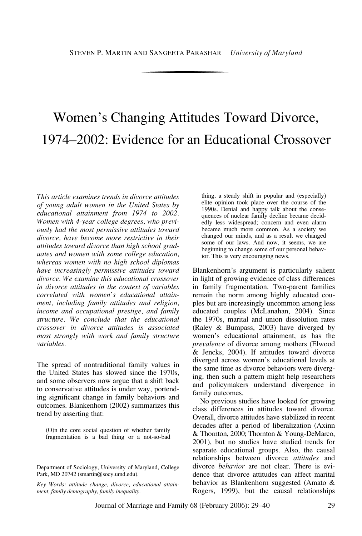# Women's Changing Attitudes Toward Divorce, 1974–2002: Evidence for an Educational Crossover

This article examines trends in divorce attitudes of young adult women in the United States by educational attainment from 1974 to 2002. Women with 4-year college degrees, who previously had the most permissive attitudes toward divorce, have become more restrictive in their attitudes toward divorce than high school graduates and women with some college education, whereas women with no high school diplomas have increasingly permissive attitudes toward divorce. We examine this educational crossover in divorce attitudes in the context of variables correlated with women's educational attainment, including family attitudes and religion, income and occupational prestige, and family structure. We conclude that the educational crossover in divorce attitudes is associated most strongly with work and family structure variables.

The spread of nontraditional family values in the United States has slowed since the 1970s, and some observers now argue that a shift back to conservative attitudes is under way, portending significant change in family behaviors and outcomes. Blankenhorn (2002) summarizes this trend by asserting that:

(O)n the core social question of whether family fragmentation is a bad thing or a not-so-bad thing, a steady shift in popular and (especially) elite opinion took place over the course of the 1990s. Denial and happy talk about the consequences of nuclear family decline became decidedly less widespread; concern and even alarm became much more common. As a society we changed our minds, and as a result we changed some of our laws. And now, it seems, we are beginning to change some of our personal behavior. This is very encouraging news.

Blankenhorn's argument is particularly salient in light of growing evidence of class differences in family fragmentation. Two-parent families remain the norm among highly educated couples but are increasingly uncommon among less educated couples (McLanahan, 2004). Since the 1970s, marital and union dissolution rates (Raley & Bumpass, 2003) have diverged by women's educational attainment, as has the prevalence of divorce among mothers (Elwood & Jencks, 2004). If attitudes toward divorce diverged across women's educational levels at the same time as divorce behaviors were diverging, then such a pattern might help researchers and policymakers understand divergence in family outcomes.

No previous studies have looked for growing class differences in attitudes toward divorce. Overall, divorce attitudes have stabilized in recent decades after a period of liberalization (Axinn & Thornton, 2000; Thornton & Young-DeMarco, 2001), but no studies have studied trends for separate educational groups. Also, the causal relationships between divorce attitudes and divorce *behavior* are not clear. There is evidence that divorce attitudes can affect marital behavior as Blankenhorn suggested (Amato & Rogers, 1999), but the causal relationships

Department of Sociology, University of Maryland, College Park, MD 20742 (smartin@socy.umd.edu).

Key Words: attitude change, divorce, educational attainment, family demography, family inequality.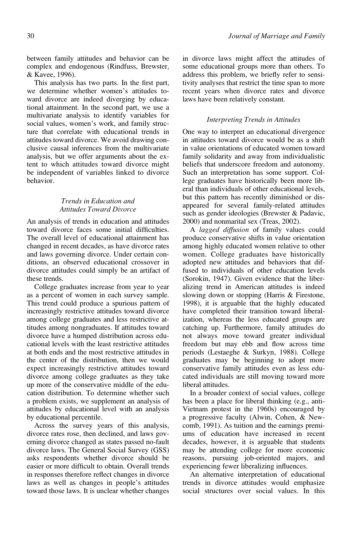between family attitudes and behavior can be complex and endogenous (Rindfuss, Brewster, & Kavee, 1996).

This analysis has two parts. In the first part, we determine whether women's attitudes toward divorce are indeed diverging by educational attainment. In the second part, we use a multivariate analysis to identify variables for social values, women's work, and family structure that correlate with educational trends in attitudes toward divorce. We avoid drawing conclusive causal inferences from the multivariate analysis, but we offer arguments about the extent to which attitudes toward divorce might be independent of variables linked to divorce behavior.

#### Trends in Education and Attitudes Toward Divorce

An analysis of trends in education and attitudes toward divorce faces some initial difficulties. The overall level of educational attainment has changed in recent decades, as have divorce rates and laws governing divorce. Under certain conditions, an observed educational crossover in divorce attitudes could simply be an artifact of these trends.

College graduates increase from year to year as a percent of women in each survey sample. This trend could produce a spurious pattern of increasingly restrictive attitudes toward divorce among college graduates and less restrictive attitudes among nongraduates. If attitudes toward divorce have a humped distribution across educational levels with the least restrictive attitudes at both ends and the most restrictive attitudes in the center of the distribution, then we would expect increasingly restrictive attitudes toward divorce among college graduates as they take up more of the conservative middle of the education distribution. To determine whether such a problem exists, we supplement an analysis of attitudes by educational level with an analysis by educational percentile.

Across the survey years of this analysis, divorce rates rose, then declined, and laws governing divorce changed as states passed no-fault divorce laws. The General Social Survey (GSS) asks respondents whether divorce should be easier or more difficult to obtain. Overall trends in responses therefore reflect changes in divorce laws as well as changes in people's attitudes toward those laws. It is unclear whether changes

in divorce laws might affect the attitudes of some educational groups more than others. To address this problem, we briefly refer to sensitivity analyses that restrict the time span to more recent years when divorce rates and divorce laws have been relatively constant.

#### Interpreting Trends in Attitudes

One way to interpret an educational divergence in attitudes toward divorce would be as a shift in value orientations of educated women toward family solidarity and away from individualistic beliefs that underscore freedom and autonomy. Such an interpretation has some support. College graduates have historically been more liberal than individuals of other educational levels, but this pattern has recently diminished or disappeared for several family-related attitudes such as gender ideologies (Brewster & Padavic, 2000) and nonmarital sex (Treas, 2002).

A *lagged diffusion* of family values could produce conservative shifts in value orientation among highly educated women relative to other women. College graduates have historically adopted new attitudes and behaviors that diffused to individuals of other education levels (Sorokin, 1947). Given evidence that the liberalizing trend in American attitudes is indeed slowing down or stopping (Harris & Firestone, 1998), it is arguable that the highly educated have completed their transition toward liberalization, whereas the less educated groups are catching up. Furthermore, family attitudes do not always move toward greater individual freedom but may ebb and flow across time periods (Lestaeghe & Surkyn, 1988). College graduates may be beginning to adopt more conservative family attitudes even as less educated individuals are still moving toward more liberal attitudes.

In a broader context of social values, college has been a place for liberal thinking (e.g., anti-Vietnam protest in the 1960s) encouraged by a progressive faculty (Alwin, Cohen, & Newcomb, 1991). As tuition and the earnings premiums of education have increased in recent decades, however, it is arguable that students may be attending college for more economic reasons, pursuing job-oriented majors, and experiencing fewer liberalizing influences.

An alternative interpretation of educational trends in divorce attitudes would emphasize social structures over social values. In this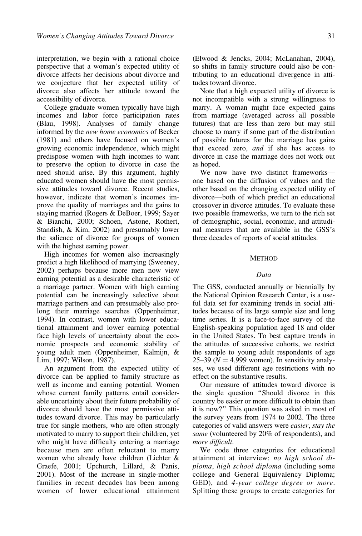interpretation, we begin with a rational choice perspective that a woman's expected utility of divorce affects her decisions about divorce and we conjecture that her expected utility of divorce also affects her attitude toward the accessibility of divorce.

College graduate women typically have high incomes and labor force participation rates (Blau, 1998). Analyses of family change informed by the new home economics of Becker (1981) and others have focused on women's growing economic independence, which might predispose women with high incomes to want to preserve the option to divorce in case the need should arise. By this argument, highly educated women should have the most permissive attitudes toward divorce. Recent studies, however, indicate that women's incomes improve the quality of marriages and the gains to staying married (Rogers & DeBoer, 1999; Sayer & Bianchi, 2000; Schoen, Astone, Rothert, Standish, & Kim, 2002) and presumably lower the salience of divorce for groups of women with the highest earning power.

High incomes for women also increasingly predict a high likelihood of marrying (Sweeney, 2002) perhaps because more men now view earning potential as a desirable characteristic of a marriage partner. Women with high earning potential can be increasingly selective about marriage partners and can presumably also prolong their marriage searches (Oppenheimer, 1994). In contrast, women with lower educational attainment and lower earning potential face high levels of uncertainty about the economic prospects and economic stability of young adult men (Oppenheimer, Kalmijn, & Lim, 1997; Wilson, 1987).

An argument from the expected utility of divorce can be applied to family structure as well as income and earning potential. Women whose current family patterns entail considerable uncertainty about their future probability of divorce should have the most permissive attitudes toward divorce. This may be particularly true for single mothers, who are often strongly motivated to marry to support their children, yet who might have difficulty entering a marriage because men are often reluctant to marry women who already have children (Lichter & Graefe, 2001; Upchurch, Lillard, & Panis, 2001). Most of the increase in single-mother families in recent decades has been among women of lower educational attainment

(Elwood & Jencks, 2004; McLanahan, 2004), so shifts in family structure could also be contributing to an educational divergence in attitudes toward divorce.

Note that a high expected utility of divorce is not incompatible with a strong willingness to marry. A woman might face expected gains from marriage (averaged across all possible futures) that are less than zero but may still choose to marry if some part of the distribution of possible futures for the marriage has gains that exceed zero, and if she has access to divorce in case the marriage does not work out as hoped.

We now have two distinct frameworks one based on the diffusion of values and the other based on the changing expected utility of divorce—both of which predict an educational crossover in divorce attitudes. To evaluate these two possible frameworks, we turn to the rich set of demographic, social, economic, and attitudinal measures that are available in the GSS's three decades of reports of social attitudes.

#### **METHOD**

#### Data

The GSS, conducted annually or biennially by the National Opinion Research Center, is a useful data set for examining trends in social attitudes because of its large sample size and long time series. It is a face-to-face survey of the English-speaking population aged 18 and older in the United States. To best capture trends in the attitudes of successive cohorts, we restrict the sample to young adult respondents of age 25–39 ( $N = 4,999$  women). In sensitivity analyses, we used different age restrictions with no effect on the substantive results.

Our measure of attitudes toward divorce is the single question ''Should divorce in this country be easier or more difficult to obtain than it is now?'' This question was asked in most of the survey years from 1974 to 2002. The three categories of valid answers were easier, stay the same (volunteered by 20% of respondents), and more difficult.

We code three categories for educational attainment at interview: no high school diploma, high school diploma (including some college and General Equivalency Diploma; GED), and 4-year college degree or more. Splitting these groups to create categories for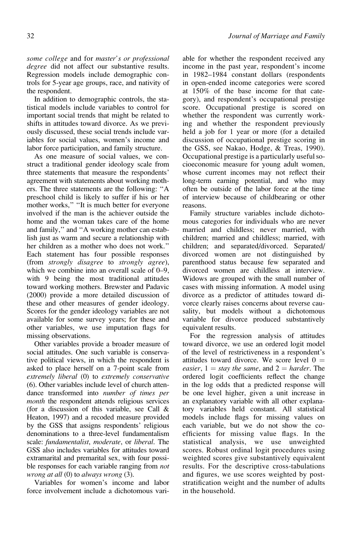some college and for master's or professional degree did not affect our substantive results. Regression models include demographic controls for 5-year age groups, race, and nativity of the respondent.

In addition to demographic controls, the statistical models include variables to control for important social trends that might be related to shifts in attitudes toward divorce. As we previously discussed, these social trends include variables for social values, women's income and labor force participation, and family structure.

As one measure of social values, we construct a traditional gender ideology scale from three statements that measure the respondents' agreement with statements about working mothers. The three statements are the following: ''A preschool child is likely to suffer if his or her mother works," "It is much better for everyone" involved if the man is the achiever outside the home and the woman takes care of the home and family,'' and ''A working mother can establish just as warm and secure a relationship with her children as a mother who does not work.'' Each statement has four possible responses (from strongly disagree to strongly agree), which we combine into an overall scale of  $0-9$ , with 9 being the most traditional attitudes toward working mothers. Brewster and Padavic (2000) provide a more detailed discussion of these and other measures of gender ideology. Scores for the gender ideology variables are not available for some survey years; for these and other variables, we use imputation flags for missing observations.

Other variables provide a broader measure of social attitudes. One such variable is conservative political views, in which the respondent is asked to place herself on a 7-point scale from extremely liberal (0) to extremely conservative (6). Other variables include level of church attendance transformed into number of times per month the respondent attends religious services (for a discussion of this variable, see Call & Heaton, 1997) and a recoded measure provided by the GSS that assigns respondents' religious denominations to a three-level fundamentalism scale: fundamentalist, moderate, or liberal. The GSS also includes variables for attitudes toward extramarital and premarital sex, with four possible responses for each variable ranging from not wrong at all  $(0)$  to always wrong  $(3)$ .

Variables for women's income and labor force involvement include a dichotomous vari-

able for whether the respondent received any income in the past year, respondent's income in 1982–1984 constant dollars (respondents in open-ended income categories were scored at 150% of the base income for that category), and respondent's occupational prestige score. Occupational prestige is scored on whether the respondent was currently working and whether the respondent previously held a job for 1 year or more (for a detailed discussion of occupational prestige scoring in the GSS, see Nakao, Hodge, & Treas, 1990). Occupational prestige is a particularly useful socioeconomic measure for young adult women, whose current incomes may not reflect their long-term earning potential, and who may often be outside of the labor force at the time of interview because of childbearing or other reasons.

Family structure variables include dichotomous categories for individuals who are never married and childless; never married, with children; married and childless; married, with children; and separated/divorced. Separated/ divorced women are not distinguished by parenthood status because few separated and divorced women are childless at interview. Widows are grouped with the small number of cases with missing information. A model using divorce as a predictor of attitudes toward divorce clearly raises concerns about reverse causality, but models without a dichotomous variable for divorce produced substantively equivalent results.

For the regression analysis of attitudes toward divorce, we use an ordered logit model of the level of restrictiveness in a respondent's attitudes toward divorce. We score level  $0 =$ easier,  $1 =$  stay the same, and  $2 =$  harder. The ordered logit coefficients reflect the change in the log odds that a predicted response will be one level higher, given a unit increase in an explanatory variable with all other explanatory variables held constant. All statistical models include flags for missing values on each variable, but we do not show the coefficients for missing value flags. In the statistical analysis, we use unweighted scores. Robust ordinal logit procedures using weighted scores give substantively equivalent results. For the descriptive cross-tabulations and figures, we use scores weighted by poststratification weight and the number of adults in the household.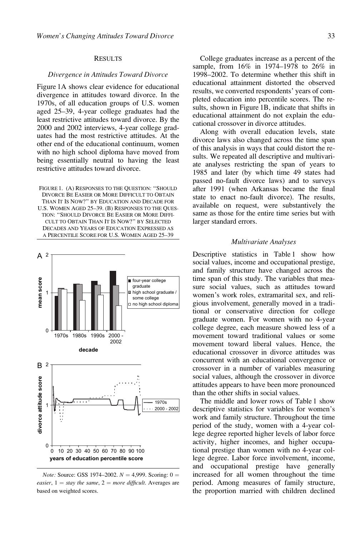#### RESULTS

#### Divergence in Attitudes Toward Divorce

Figure 1A shows clear evidence for educational divergence in attitudes toward divorce. In the 1970s, of all education groups of U.S. women aged 25–39, 4-year college graduates had the least restrictive attitudes toward divorce. By the 2000 and 2002 interviews, 4-year college graduates had the most restrictive attitudes. At the other end of the educational continuum, women with no high school diploma have moved from being essentially neutral to having the least restrictive attitudes toward divorce.

FIGURE 1. (A) RESPONSES TO THE QUESTION: ''SHOULD DIVORCE BE EASIER OR MORE DIFFICULT TO OBTAIN THAN IT IS NOW?'' BY EDUCATION AND DECADE FOR U.S. WOMEN AGED 25–39. (B) RESPONSES TO THE QUES-TION: ''SHOULD DIVORCE BE EASIER OR MORE DIFFI-CULT TO OBTAIN THAN IT IS NOW?'' BY SELECTED DECADES AND YEARS OF EDUCATION EXPRESSED AS A PERCENTILE SCORE FOR U.S. WOMEN AGED 25–39



*Note:* Source: GSS 1974–2002.  $N = 4,999$ . Scoring: 0 = easier,  $1 =$  stay the same,  $2 =$  more difficult. Averages are based on weighted scores.

College graduates increase as a percent of the sample, from 16% in 1974–1978 to 26% in 1998–2002. To determine whether this shift in educational attainment distorted the observed results, we converted respondents' years of completed education into percentile scores. The results, shown in Figure 1B, indicate that shifts in educational attainment do not explain the educational crossover in divorce attitudes.

Along with overall education levels, state divorce laws also changed across the time span of this analysis in ways that could distort the results. We repeated all descriptive and multivariate analyses restricting the span of years to 1985 and later (by which time 49 states had passed no-fault divorce laws) and to surveys after 1991 (when Arkansas became the final state to enact no-fault divorce). The results, available on request, were substantively the same as those for the entire time series but with larger standard errors.

#### Multivariate Analyses

Descriptive statistics in Table 1 show how social values, income and occupational prestige, and family structure have changed across the time span of this study. The variables that measure social values, such as attitudes toward women's work roles, extramarital sex, and religious involvement, generally moved in a traditional or conservative direction for college graduate women. For women with no 4-year college degree, each measure showed less of a movement toward traditional values or some movement toward liberal values. Hence, the educational crossover in divorce attitudes was concurrent with an educational convergence or crossover in a number of variables measuring social values, although the crossover in divorce attitudes appears to have been more pronounced than the other shifts in social values.

The middle and lower rows of Table 1 show descriptive statistics for variables for women's work and family structure. Throughout the time period of the study, women with a 4-year college degree reported higher levels of labor force activity, higher incomes, and higher occupational prestige than women with no 4-year college degree. Labor force involvement, income, and occupational prestige have generally increased for all women throughout the time period. Among measures of family structure, the proportion married with children declined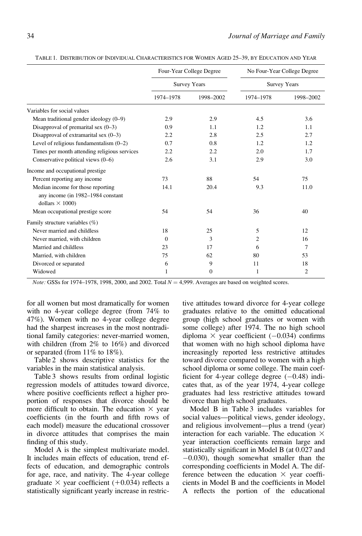TABLE 1. DISTRIBUTION OF INDIVIDUAL CHARACTERISTICS FOR WOMEN AGED 25–39, BY EDUCATION AND YEAR

|                                                                        |                     | Four-Year College Degree | No Four-Year College Degree |           |  |  |
|------------------------------------------------------------------------|---------------------|--------------------------|-----------------------------|-----------|--|--|
|                                                                        | <b>Survey Years</b> |                          | <b>Survey Years</b>         |           |  |  |
|                                                                        | 1974-1978           | 1998-2002                | 1974-1978                   | 1998-2002 |  |  |
| Variables for social values                                            |                     |                          |                             |           |  |  |
| Mean traditional gender ideology (0-9)                                 | 2.9                 | 2.9                      | 4.5                         | 3.6       |  |  |
| Disapproval of premarital sex $(0-3)$                                  | 0.9                 | 1.1                      | 1.2                         | 1.1       |  |  |
| Disapproval of extramarital sex $(0-3)$                                | 2.2                 | 2.8                      | 2.5                         | 2.7       |  |  |
| Level of religious fundamentalism $(0-2)$                              | 0.7                 | 0.8                      | 1.2                         | 1.2       |  |  |
| Times per month attending religious services                           | 2.2                 | 2.2                      | 2.0                         | 1.7       |  |  |
| Conservative political views $(0-6)$                                   | 2.6                 | 3.1                      | 2.9                         | 3.0       |  |  |
| Income and occupational prestige                                       |                     |                          |                             |           |  |  |
| Percent reporting any income                                           | 73                  | 88                       | 54                          | 75        |  |  |
| Median income for those reporting<br>any income (in 1982–1984 constant | 14.1                | 20.4                     | 9.3                         | 11.0      |  |  |
| dollars $\times$ 1000)                                                 | 54                  | 54                       | 36                          | 40        |  |  |
| Mean occupational prestige score                                       |                     |                          |                             |           |  |  |
| Family structure variables (%)                                         |                     |                          |                             |           |  |  |
| Never married and childless                                            | 18                  | 25                       | 5                           | 12        |  |  |
| Never married, with children                                           | $\Omega$            | 3                        | 2                           | 16        |  |  |
| Married and childless                                                  | 23                  | 17                       | 6                           | 7         |  |  |
| Married, with children                                                 | 75                  | 62                       | 80                          | 53        |  |  |
| Divorced or separated                                                  | 6                   | 9                        | 11                          | 18        |  |  |
| Widowed                                                                | 1                   | $\mathbf{0}$             | 1                           | 2         |  |  |

*Note:* GSSs for 1974–1978, 1998, 2000, and 2002. Total  $N = 4.999$ . Averages are based on weighted scores.

for all women but most dramatically for women with no 4-year college degree (from 74% to 47%). Women with no 4-year college degree had the sharpest increases in the most nontraditional family categories: never-married women, with children (from 2% to 16%) and divorced or separated (from 11% to 18%).

Table 2 shows descriptive statistics for the variables in the main statistical analysis.

Table 3 shows results from ordinal logistic regression models of attitudes toward divorce, where positive coefficients reflect a higher proportion of responses that divorce should be more difficult to obtain. The education  $\times$  year coefficients (in the fourth and fifth rows of each model) measure the educational crossover in divorce attitudes that comprises the main finding of this study.

Model A is the simplest multivariate model. It includes main effects of education, trend effects of education, and demographic controls for age, race, and nativity. The 4-year college graduate  $\times$  year coefficient (+0.034) reflects a statistically significant yearly increase in restrictive attitudes toward divorce for 4-year college graduates relative to the omitted educational group (high school graduates or women with some college) after 1974. The no high school diploma  $\times$  year coefficient (-0.034) confirms that women with no high school diploma have increasingly reported less restrictive attitudes toward divorce compared to women with a high school diploma or some college. The main coefficient for 4-year college degree  $(-0.48)$  indicates that, as of the year 1974, 4-year college graduates had less restrictive attitudes toward divorce than high school graduates.

Model B in Table 3 includes variables for social values—political views, gender ideology, and religious involvement—plus a trend (year) interaction for each variable. The education  $\times$ year interaction coefficients remain large and statistically significant in Model B (at 0.027 and  $-0.030$ ), though somewhat smaller than the corresponding coefficients in Model A. The difference between the education  $\times$  year coefficients in Model B and the coefficients in Model A reflects the portion of the educational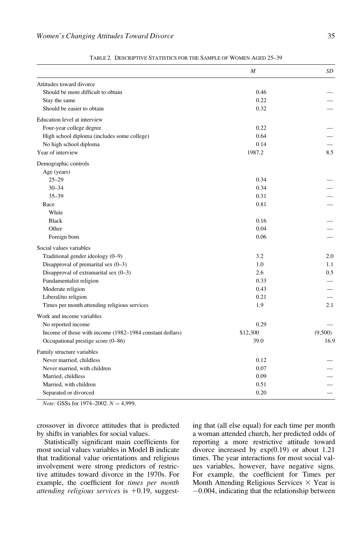|                                                          | $\boldsymbol{M}$ | SD      |
|----------------------------------------------------------|------------------|---------|
| Attitudes toward divorce                                 |                  |         |
| Should be more difficult to obtain                       | 0.46             |         |
| Stay the same                                            | 0.22             |         |
| Should be easier to obtain                               | 0.32             |         |
| Education level at interview                             |                  |         |
| Four-year college degree                                 | 0.22             |         |
| High school diploma (includes some college)              | 0.64             |         |
| No high school diploma                                   | 0.14             |         |
| Year of interview                                        | 1987.2           | 8.5     |
| Demographic controls                                     |                  |         |
| Age (years)                                              |                  |         |
| $25 - 29$                                                | 0.34             |         |
| $30 - 34$                                                | 0.34             |         |
| $35 - 39$                                                | 0.31             |         |
| Race                                                     | 0.81             |         |
| White                                                    |                  |         |
| <b>Black</b>                                             | 0.16             |         |
| Other                                                    | 0.04             |         |
| Foreign born                                             | 0.06             |         |
| Social values variables                                  |                  |         |
| Traditional gender ideology (0-9)                        | 3.2              | 2.0     |
| Disapproval of premarital sex (0-3)                      | 1.0              | 1.1     |
| Disapproval of extramarital sex $(0-3)$                  | 2.6              | 0.5     |
| Fundamentalist religion                                  | 0.33             |         |
| Moderate religion                                        | 0.43             |         |
| Liberal/no religion                                      | 0.21             |         |
| Times per month attending religious services             | 1.9              | 2.1     |
| Work and income variables                                |                  |         |
| No reported income                                       | 0.29             |         |
| Income of those with income (1982-1984 constant dollars) | \$12,300         | (9,500) |
| Occupational prestige score (0-86)                       | 39.0             | 16.9    |
| Family structure variables                               |                  |         |
| Never married, childless                                 | 0.12             |         |
| Never married, with children                             | 0.07             |         |
| Married, childless                                       | 0.09             |         |
| Married, with children                                   | 0.51             |         |
| Separated or divorced                                    | 0.20             |         |

TABLE 2. DESCRIPTIVE STATISTICS FOR THE SAMPLE OF WOMEN AGED 25–39

*Note:* GSSs for 1974–2002.  $N = 4,999$ .

crossover in divorce attitudes that is predicted by shifts in variables for social values.

Statistically significant main coefficients for most social values variables in Model B indicate that traditional value orientations and religious involvement were strong predictors of restrictive attitudes toward divorce in the 1970s. For example, the coefficient for times per month attending religious services is  $+0.19$ , suggest-

ing that (all else equal) for each time per month a woman attended church, her predicted odds of reporting a more restrictive attitude toward divorce increased by exp(0.19) or about 1.21 times. The year interactions for most social values variables, however, have negative signs. For example, the coefficient for Times per Month Attending Religious Services  $\times$  Year is  $-0.004$ , indicating that the relationship between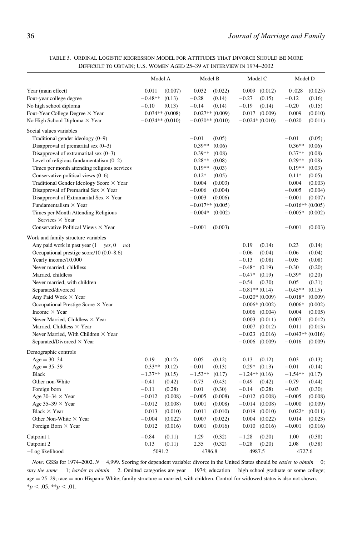TABLE 3. ORDINAL LOGISTIC REGRESSION MODEL FOR ATTITUDES THAT DIVORCE SHOULD BE MORE DIFFICULT TO OBTAIN; U.S. WOMEN AGED 25–39 AT INTERVIEW IN 1974–2002

|                                                               | Model A            |         | Model B            |                   | Model C          |                    | Model D            |         |
|---------------------------------------------------------------|--------------------|---------|--------------------|-------------------|------------------|--------------------|--------------------|---------|
| Year (main effect)                                            | 0.011              | (0.007) | 0.032              | (0.022)           | 0.009            | (0.012)            | 0.028              | (0.025) |
| Four-year college degree                                      | $-0.48**$          | (0.13)  | $-0.28$            | (0.14)            | $-0.27$          | (0.15)             | $-0.12$            | (0.16)  |
| No high school diploma                                        | $-0.10$            | (0.13)  | $-0.14$            | (0.14)            | $-0.19$          | (0.14)             | $-0.20$            | (0.15)  |
| Four-Year College Degree $\times$ Year                        | $0.034**$ (0.008)  |         |                    | $0.027**$ (0.009) |                  | $0.017$ $(0.009)$  | 0.009              | (0.010) |
| No High School Diploma × Year                                 | $-0.034**$ (0.010) |         | $-0.030**$ (0.010) |                   | $-0.024*(0.010)$ |                    | $-0.020$           | (0.011) |
| Social values variables                                       |                    |         |                    |                   |                  |                    |                    |         |
| Traditional gender ideology (0–9)                             |                    |         | $-0.01$            | (0.05)            |                  |                    | $-0.01$            | (0.05)  |
| Disapproval of premarital sex $(0-3)$                         |                    |         | $0.39**$           | (0.06)            |                  |                    | $0.36**$           | (0.06)  |
| Disapproval of extramarital sex $(0-3)$                       |                    |         | $0.39**$           | (0.08)            |                  |                    | $0.37**$           | (0.08)  |
| Level of religious fundamentalism $(0-2)$                     |                    |         | $0.28**$           | (0.08)            |                  |                    | $0.29**$           | (0.08)  |
| Times per month attending religious services                  |                    |         | $0.19**$           | (0.03)            |                  |                    | $0.19**$           | (0.03)  |
| Conservative political views $(0-6)$                          |                    |         | $0.12*$            | (0.05)            |                  |                    | $0.11*$            | (0.05)  |
| Traditional Gender Ideology Score $\times$ Year               |                    |         | 0.004              | (0.003)           |                  |                    | 0.004              | (0.003) |
| Disapproval of Premarital Sex $\times$ Year                   |                    |         | $-0.006$           | (0.004)           |                  |                    | $-0.005$           | (0.004) |
| Disapproval of Extramarital Sex $\times$ Year                 |                    |         | $-0.003$           | (0.006)           |                  |                    | $-0.001$           | (0.007) |
| Fundamentalism $\times$ Year                                  |                    |         | $-0.017**$ (0.005) |                   |                  |                    | $-0.016**$ (0.005) |         |
| Times per Month Attending Religious<br>Services $\times$ Year |                    |         | $-0.004*$          | (0.002)           |                  |                    | $-0.005*$          | (0.002) |
| Conservative Political Views $\times$ Year                    |                    |         | $-0.001$           | (0.003)           |                  |                    | $-0.001$           | (0.003) |
| Work and family structure variables                           |                    |         |                    |                   |                  |                    |                    |         |
| Any paid work in past year $(1 = yes, 0 = no)$                |                    |         |                    |                   | 0.19             | (0.14)             | 0.23               | (0.14)  |
| Occupational prestige score/10 (0.0–8.6)                      |                    |         |                    |                   | $-0.06$          | (0.04)             | $-0.06$            | (0.04)  |
| Yearly income/10,000                                          |                    |         |                    |                   | $-0.13$          | (0.08)             | $-0.05$            | (0.08)  |
| Never married, childless                                      |                    |         |                    |                   | $-0.48*$         | (0.19)             | $-0.30$            | (0.20)  |
| Married, childless                                            |                    |         |                    |                   | $-0.47*$         | (0.19)             | $-0.39*$           | (0.20)  |
| Never married, with children                                  |                    |         |                    |                   | $-0.54$          | (0.30)             | 0.05               | (0.31)  |
| Separated/divorced                                            |                    |         |                    |                   | $-0.81**$ (0.14) |                    | $-0.45**$          | (0.15)  |
| Any Paid Work $\times$ Year                                   |                    |         |                    |                   | $-0.020*(0.009)$ |                    | $-0.018*$          | (0.009) |
| Occupational Prestige Score $\times$ Year                     |                    |         |                    |                   |                  | $0.006*(0.002)$    | $0.006*$           | (0.002) |
| Income $\times$ Year                                          |                    |         |                    |                   |                  | $0.006$ $(0.004)$  | 0.004              | (0.005) |
| Never Married, Childless × Year                               |                    |         |                    |                   |                  | $0.003$ $(0.011)$  | 0.007              | (0.012) |
| Married, Childless × Year                                     |                    |         |                    |                   |                  | $0.007$ $(0.012)$  | 0.011              | (0.013) |
| Never Married, With Children $\times$ Year                    |                    |         |                    |                   |                  | $-0.023$ $(0.016)$ | $-0.043**$ (0.016) |         |
| Separated/Divorced $\times$ Year                              |                    |         |                    |                   |                  | $-0.006$ $(0.009)$ | $-0.016$           | (0.009) |
| Demographic controls                                          |                    |         |                    |                   |                  |                    |                    |         |
| $Age = 30 - 34$                                               | 0.19               | (0.12)  | 0.05               | (0.12)            | 0.13             | (0.12)             | 0.03               | (0.13)  |
| $Age = 35 - 39$                                               | $0.33**$           | (0.12)  | $-0.01$            | (0.13)            | $0.29*$          | (0.13)             | $-0.01$            | (0.14)  |
| <b>Black</b>                                                  | $-1.37**$          | (0.15)  | $-1.53**$          | (0.17)            | $-1.24**$ (0.16) |                    | $-1.54**$          | (0.17)  |
| Other non-White                                               | $-0.41$            | (0.42)  | $-0.73$            | (0.43)            | $-0.49$          | (0.42)             | $-0.79$            | (0.44)  |
| Foreign born                                                  | $-0.11$            | (0.28)  | 0.01               | (0.30)            | $-0.14$          | (0.28)             | $-0.03$            | (0.30)  |
| Age $30-34 \times$ Year                                       | $-0.012$           | (0.008) | $-0.005$           | (0.008)           | $-0.012$ (0.008) |                    | $-0.005$           | (0.008) |
| Age $35-39 \times$ Year                                       | $-0.012$           | (0.008) | 0.001              | (0.008)           | $-0.014$ (0.008) |                    | $-0.000$           | (0.009) |
| Black $\times$ Year                                           | 0.013              | (0.010) | 0.011              | (0.010)           |                  | $0.019$ $(0.010)$  | $0.022*$           | (0.011) |
| Other Non-White $\times$ Year                                 | $-0.004$           | (0.022) | 0.007              | (0.022)           |                  | $0.004$ $(0.022)$  | 0.014              | (0.023) |
| Foreign Born $\times$ Year                                    | 0.012              | (0.016) | 0.001              | (0.016)           |                  | $0.010$ $(0.016)$  | $-0.001$           | (0.016) |
| Cutpoint 1                                                    | $-0.84$<br>0.13    | (0.11)  | 1.29<br>2.35       | (0.32)            | $-1.28$          | (0.20)             | 1.00<br>2.08       | (0.38)  |
| Cutpoint 2                                                    | 5091.2             | (0.11)  |                    | (0.32)            | $-0.28$          | (0.20)             |                    | (0.38)  |
| -Log likelihood                                               |                    |         | 4786.8             |                   | 4987.5           |                    | 4727.6             |         |

Note: GSSs for 1974–2002.  $N = 4,999$ . Scoring for dependent variable: divorce in the United States should be easier to obtain = 0; stay the same = 1; harder to obtain = 2. Omitted categories are year = 1974; education = high school graduate or some college;  $age = 25-29$ ; race = non-Hispanic White; family structure = married, with children. Control for widowed status is also not shown.  $*_{p} < .05.$   $*_{p} < .01.$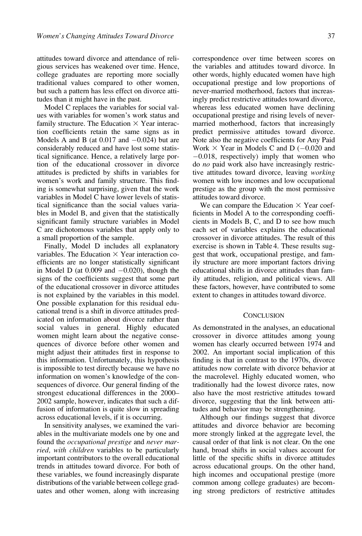attitudes toward divorce and attendance of religious services has weakened over time. Hence, college graduates are reporting more socially traditional values compared to other women, but such a pattern has less effect on divorce attitudes than it might have in the past.

Model C replaces the variables for social values with variables for women's work status and family structure. The Education  $\times$  Year interaction coefficients retain the same signs as in Models A and B (at  $0.017$  and  $-0.024$ ) but are considerably reduced and have lost some statistical significance. Hence, a relatively large portion of the educational crossover in divorce attitudes is predicted by shifts in variables for women's work and family structure. This finding is somewhat surprising, given that the work variables in Model C have lower levels of statistical significance than the social values variables in Model B, and given that the statistically significant family structure variables in Model C are dichotomous variables that apply only to a small proportion of the sample.

Finally, Model D includes all explanatory variables. The Education  $\times$  Year interaction coefficients are no longer statistically significant in Model D (at  $0.009$  and  $-0.020$ ), though the signs of the coefficients suggest that some part of the educational crossover in divorce attitudes is not explained by the variables in this model. One possible explanation for this residual educational trend is a shift in divorce attitudes predicated on information about divorce rather than social values in general. Highly educated women might learn about the negative consequences of divorce before other women and might adjust their attitudes first in response to this information. Unfortunately, this hypothesis is impossible to test directly because we have no information on women's knowledge of the consequences of divorce. Our general finding of the strongest educational differences in the 2000– 2002 sample, however, indicates that such a diffusion of information is quite slow in spreading across educational levels, if it is occurring.

In sensitivity analyses, we examined the variables in the multivariate models one by one and found the occupational prestige and never married, with children variables to be particularly important contributors to the overall educational trends in attitudes toward divorce. For both of these variables, we found increasingly disparate distributions of the variable between college graduates and other women, along with increasing correspondence over time between scores on the variables and attitudes toward divorce. In other words, highly educated women have high occupational prestige and low proportions of never-married motherhood, factors that increasingly predict restrictive attitudes toward divorce, whereas less educated women have declining occupational prestige and rising levels of nevermarried motherhood, factors that increasingly predict permissive attitudes toward divorce. Note also the negative coefficients for Any Paid Work  $\times$  Year in Models C and D ( $-0.020$  and  $-0.018$ , respectively) imply that women who do no paid work also have increasingly restrictive attitudes toward divorce, leaving working women with low incomes and low occupational prestige as the group with the most permissive attitudes toward divorce.

We can compare the Education  $\times$  Year coefficients in Model A to the corresponding coefficients in Models B, C, and D to see how much each set of variables explains the educational crossover in divorce attitudes. The result of this exercise is shown in Table 4. These results suggest that work, occupational prestige, and family structure are more important factors driving educational shifts in divorce attitudes than family attitudes, religion, and political views. All these factors, however, have contributed to some extent to changes in attitudes toward divorce.

#### **CONCLUSION**

As demonstrated in the analyses, an educational crossover in divorce attitudes among young women has clearly occurred between 1974 and 2002. An important social implication of this finding is that in contrast to the 1970s, divorce attitudes now correlate with divorce behavior at the macrolevel. Highly educated women, who traditionally had the lowest divorce rates, now also have the most restrictive attitudes toward divorce, suggesting that the link between attitudes and behavior may be strengthening.

Although our findings suggest that divorce attitudes and divorce behavior are becoming more strongly linked at the aggregate level, the causal order of that link is not clear. On the one hand, broad shifts in social values account for little of the specific shifts in divorce attitudes across educational groups. On the other hand, high incomes and occupational prestige (more common among college graduates) are becoming strong predictors of restrictive attitudes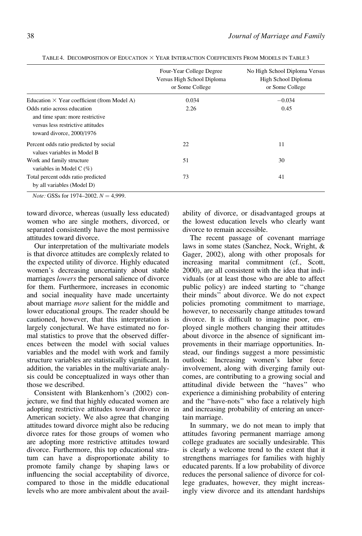|                                                    | Four-Year College Degree<br>Versus High School Diploma<br>or Some College | No High School Diploma Versus<br>High School Diploma<br>or Some College |  |  |
|----------------------------------------------------|---------------------------------------------------------------------------|-------------------------------------------------------------------------|--|--|
| Education $\times$ Year coefficient (from Model A) | 0.034                                                                     | $-0.034$                                                                |  |  |
| Odds ratio across education                        | 2.26                                                                      | 0.45                                                                    |  |  |

TABLE 4. DECOMPOSITION OF EDUCATION  $\times$  YEAR INTERACTION COEFFICIENTS FROM MODELS IN TABLE 3

Note: GSSs for 1974–2002.  $N = 4,999$ .

and time span: more restrictive versus less restrictive attitudes toward divorce, 2000/1976

Percent odds ratio predicted by social values variables in Model B

Total percent odds ratio predicted by all variables (Model D)

Work and family structure variables in Model C (%)

toward divorce, whereas (usually less educated) women who are single mothers, divorced, or separated consistently have the most permissive attitudes toward divorce.

Our interpretation of the multivariate models is that divorce attitudes are complexly related to the expected utility of divorce. Highly educated women's decreasing uncertainty about stable marriages lowers the personal salience of divorce for them. Furthermore, increases in economic and social inequality have made uncertainty about marriage more salient for the middle and lower educational groups. The reader should be cautioned, however, that this interpretation is largely conjectural. We have estimated no formal statistics to prove that the observed differences between the model with social values variables and the model with work and family structure variables are statistically significant. In addition, the variables in the multivariate analysis could be conceptualized in ways other than those we described.

Consistent with Blankenhorn's (2002) conjecture, we find that highly educated women are adopting restrictive attitudes toward divorce in American society. We also agree that changing attitudes toward divorce might also be reducing divorce rates for those groups of women who are adopting more restrictive attitudes toward divorce. Furthermore, this top educational stratum can have a disproportionate ability to promote family change by shaping laws or influencing the social acceptability of divorce, compared to those in the middle educational levels who are more ambivalent about the availability of divorce, or disadvantaged groups at the lowest education levels who clearly want divorce to remain accessible.

 $22$  11

51 30

73 41

The recent passage of covenant marriage laws in some states (Sanchez, Nock, Wright, & Gager, 2002), along with other proposals for increasing marital commitment (cf., Scott, 2000), are all consistent with the idea that individuals (or at least those who are able to affect public policy) are indeed starting to ''change their minds'' about divorce. We do not expect policies promoting commitment to marriage, however, to necessarily change attitudes toward divorce. It is difficult to imagine poor, employed single mothers changing their attitudes about divorce in the absence of significant improvements in their marriage opportunities. Instead, our findings suggest a more pessimistic outlook: Increasing women's labor force involvement, along with diverging family outcomes, are contributing to a growing social and attitudinal divide between the ''haves'' who experience a diminishing probability of entering and the ''have-nots'' who face a relatively high and increasing probability of entering an uncertain marriage.

In summary, we do not mean to imply that attitudes favoring permanent marriage among college graduates are socially undesirable. This is clearly a welcome trend to the extent that it strengthens marriages for families with highly educated parents. If a low probability of divorce reduces the personal salience of divorce for college graduates, however, they might increasingly view divorce and its attendant hardships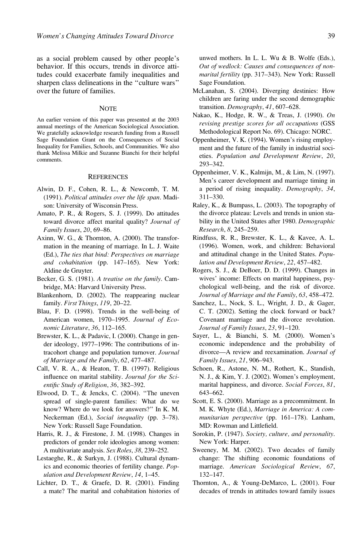as a social problem caused by other people's behavior. If this occurs, trends in divorce attitudes could exacerbate family inequalities and sharpen class delineations in the ''culture wars'' over the future of families.

#### NOTE

An earlier version of this paper was presented at the 2003 annual meetings of the American Sociological Association. We gratefully acknowledge research funding from a Russell Sage Foundation Grant on the Consequences of Social Inequality for Families, Schools, and Communities. We also thank Melissa Milkie and Suzanne Bianchi for their helpful comments.

#### **REFERENCES**

- Alwin, D. F., Cohen, R. L., & Newcomb, T. M. (1991). Political attitudes over the life span. Madison: University of Wisconsin Press.
- Amato, P. R., & Rogers, S. J. (1999). Do attitudes toward divorce affect marital quality? Journal of Family Issues, 20, 69–86.
- Axinn, W. G., & Thornton, A. (2000). The transformation in the meaning of marriage. In L. J. Waite (Ed.), The ties that bind: Perspectives on marriage and cohabitation (pp. 147–165). New York: Aldine de Gruyter.
- Becker, G. S. (1981). A treatise on the family. Cambridge, MA: Harvard University Press.
- Blankenhorn, D. (2002). The reappearing nuclear family. First Things, 119, 20–22.
- Blau, F. D. (1998). Trends in the well-being of American women, 1970–1995. Journal of Economic Literature, 36, 112–165.
- Brewster, K. L., & Padavic, I. (2000). Change in gender ideology, 1977–1996: The contributions of intracohort change and population turnover. Journal of Marriage and the Family, 62, 477–487.
- Call, V. R. A., & Heaton, T. B. (1997). Religious influence on marital stability. Journal for the Scientific Study of Religion, 36, 382–392.
- Elwood, D. T., & Jencks, C. (2004). ''The uneven spread of single-parent families: What do we know? Where do we look for answers?'' In K. M. Neckerman (Ed.), Social inequality (pp. 3–78). New York: Russell Sage Foundation.
- Harris, R. J., & Firestone, J. M. (1998). Changes in predictors of gender role ideologies among women: A multivariate analysis. Sex Roles, 38, 239–252.
- Lestaeghe, R., & Surkyn, J. (1988). Cultural dynamics and economic theories of fertility change. Population and Development Review, 14, 1–45.
- Lichter, D. T., & Graefe, D. R. (2001). Finding a mate? The marital and cohabitation histories of

unwed mothers. In L. L. Wu & B. Wolfe (Eds.), Out of wedlock: Causes and consequences of nonmarital fertility (pp. 317–343). New York: Russell Sage Foundation.

- McLanahan, S. (2004). Diverging destinies: How children are faring under the second demographic transition. Demography, 41, 607–628.
- Nakao, K., Hodge, R. W., & Treas, J. (1990). On revising prestige scores for all occupations (GSS Methodological Report No. 69). Chicago: NORC.
- Oppenheimer, V. K. (1994). Women's rising employment and the future of the family in industrial societies. Population and Development Review, 20, 293–342.
- Oppenheimer, V. K., Kalmijn, M., & Lim, N. (1997). Men's career development and marriage timing in a period of rising inequality. Demography, 34, 311–330.
- Raley, K., & Bumpass, L. (2003). The topography of the divorce plateau: Levels and trends in union stability in the United States after 1980. Demographic Research, 8, 245–259.
- Rindfuss, R. R., Brewster, K. L., & Kavee, A. L. (1996). Women, work, and children: Behavioral and attitudinal change in the United States. Population and Development Review, 22, 457–482.
- Rogers, S. J., & DeBoer, D. D. (1999). Changes in wives' income: Effects on marital happiness, psychological well-being, and the risk of divorce. Journal of Marriage and the Family, 63, 458–472.
- Sanchez, L., Nock, S. L., Wright, J. D., & Gager, C. T. (2002). Setting the clock forward or back? Covenant marriage and the divorce revolution. Journal of Family Issues, 23, 91–120.
- Sayer, L., & Bianchi, S. M. (2000). Women's economic independence and the probability of divorce—A review and reexamination. Journal of Family Issues, 21, 906–943.
- Schoen, R., Astone, N. M., Rothert, K., Standish, N. J., & Kim, Y. J. (2002). Women's employment, marital happiness, and divorce. Social Forces, 81, 643–662.
- Scott, E. S. (2000). Marriage as a precommitment. In M. K. Whyte (Ed.), Marriage in America: A communitarian perspective (pp. 161–178). Lanham, MD: Rowman and Littlefield.
- Sorokin, P. (1947). Society, culture, and personality. New York: Harper.
- Sweeney, M. M. (2002). Two decades of family change: The shifting economic foundations of marriage. American Sociological Review, 67, 132–147.
- Thornton, A., & Young-DeMarco, L. (2001). Four decades of trends in attitudes toward family issues